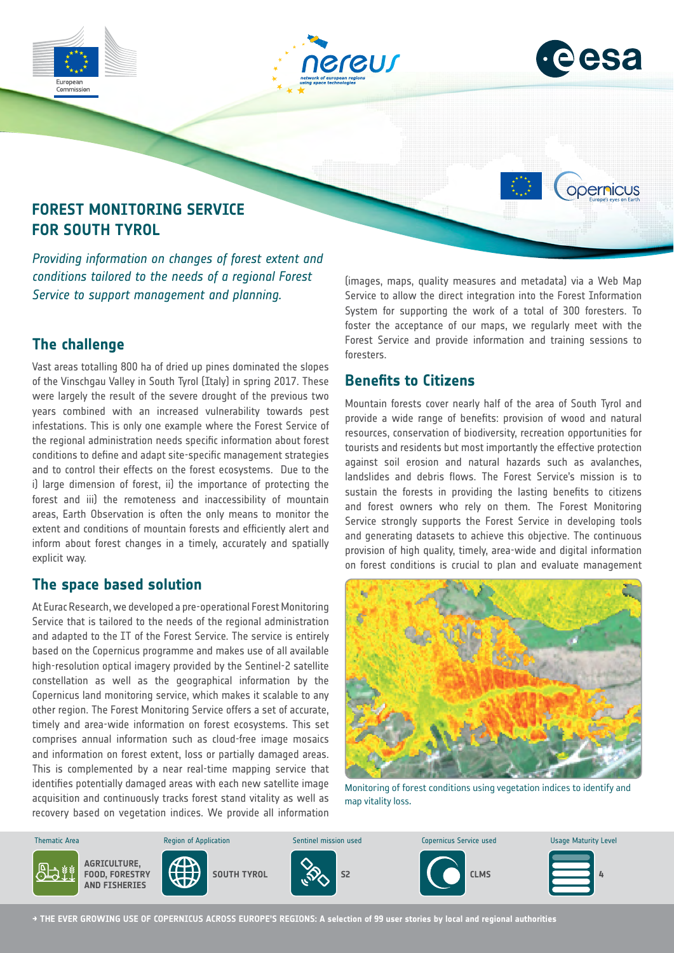



opernicus

# **FOREST MONITORING SERVICE FOR SOUTH TYROL**

*Providing information on changes of forest extent and conditions tailored to the needs of a regional Forest Service to support management and planning.*

## **The challenge**

Vast areas totalling 800 ha of dried up pines dominated the slopes of the Vinschgau Valley in South Tyrol (Italy) in spring 2017. These were largely the result of the severe drought of the previous two years combined with an increased vulnerability towards pest infestations. This is only one example where the Forest Service of the regional administration needs specific information about forest conditions to define and adapt site-specific management strategies and to control their effects on the forest ecosystems. Due to the i) large dimension of forest, ii) the importance of protecting the forest and iii) the remoteness and inaccessibility of mountain areas, Earth Observation is often the only means to monitor the extent and conditions of mountain forests and efficiently alert and inform about forest changes in a timely, accurately and spatially explicit way.

## **The space based solution**

At Eurac Research, we developed a pre-operational Forest Monitoring Service that is tailored to the needs of the regional administration and adapted to the IT of the Forest Service. The service is entirely based on the Copernicus programme and makes use of all available high-resolution optical imagery provided by the Sentinel-2 satellite constellation as well as the geographical information by the Copernicus land monitoring service, which makes it scalable to any other region. The Forest Monitoring Service offers a set of accurate, timely and area-wide information on forest ecosystems. This set comprises annual information such as cloud-free image mosaics and information on forest extent, loss or partially damaged areas. This is complemented by a near real-time mapping service that identifies potentially damaged areas with each new satellite image acquisition and continuously tracks forest stand vitality as well as recovery based on vegetation indices. We provide all information

(images, maps, quality measures and metadata) via a Web Map Service to allow the direct integration into the Forest Information System for supporting the work of a total of 300 foresters. To foster the acceptance of our maps, we regularly meet with the Forest Service and provide information and training sessions to foresters.

#### **Benefits to Citizens**

Mountain forests cover nearly half of the area of South Tyrol and provide a wide range of benefits: provision of wood and natural resources, conservation of biodiversity, recreation opportunities for tourists and residents but most importantly the effective protection against soil erosion and natural hazards such as avalanches, landslides and debris flows. The Forest Service's mission is to sustain the forests in providing the lasting benefits to citizens and forest owners who rely on them. The Forest Monitoring Service strongly supports the Forest Service in developing tools and generating datasets to achieve this objective. The continuous provision of high quality, timely, area-wide and digital information on forest conditions is crucial to plan and evaluate management



Monitoring of forest conditions using vegetation indices to identify and map vitality loss.



**→ THE EVER GROWING USE OF COPERNICUS ACROSS EUROPE'S REGIONS: A selection of 99 user stories by local and regional authorities**